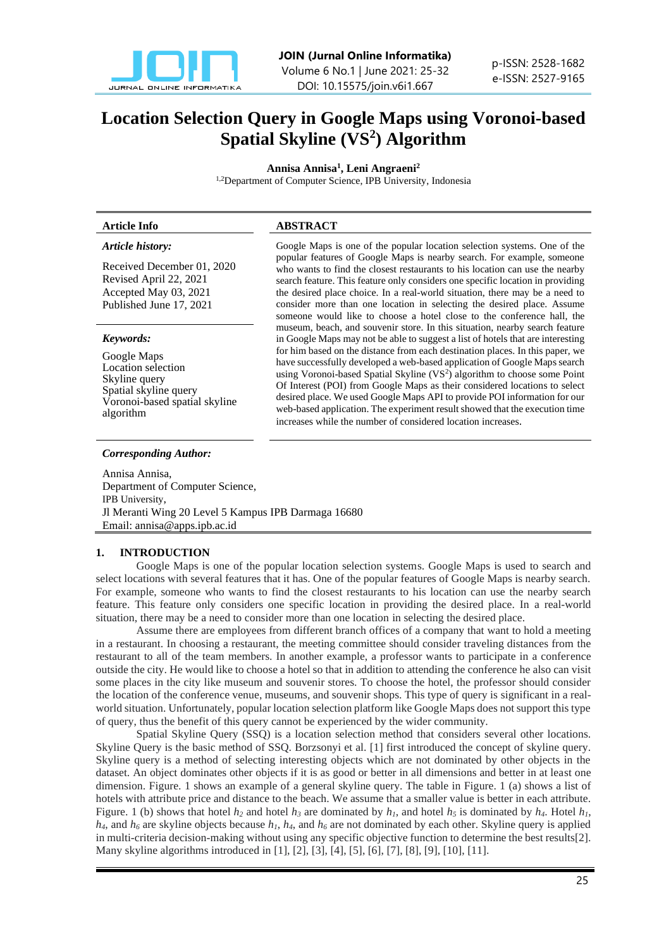

# **Location Selection Query in Google Maps using Voronoi-based Spatial Skyline (VS<sup>2</sup> ) Algorithm**

**Annisa Annisa<sup>1</sup> , Leni Angraeni<sup>2</sup>**

1,2Department of Computer Science, IPB University, Indonesia

# **Article Info ABSTRACT**

*Article history:*

Received December 01, 2020 Revised April 22, 2021 Accepted May 03, 2021 Published June 17, 2021

# *Keywords:*

Google Maps Location selection Skyline query Spatial skyline query Voronoi-based spatial skyline algorithm

#### *Corresponding Author:*

popular features of Google Maps is nearby search. For example, someone who wants to find the closest restaurants to his location can use the nearby search feature. This feature only considers one specific location in providing the desired place choice. In a real-world situation, there may be a need to consider more than one location in selecting the desired place. Assume someone would like to choose a hotel close to the conference hall, the museum, beach, and souvenir store. In this situation, nearby search feature in Google Maps may not be able to suggest a list of hotels that are interesting for him based on the distance from each destination places. In this paper, we have successfully developed a web-based application of Google Maps search using Voronoi-based Spatial Skyline (VS<sup>2</sup>) algorithm to choose some Point Of Interest (POI) from Google Maps as their considered locations to select desired place. We used Google Maps API to provide POI information for our web-based application. The experiment result showed that the execution time increases while the number of considered location increases.

Google Maps is one of the popular location selection systems. One of the

Annisa Annisa, Department of Computer Science, IPB University, Jl Meranti Wing 20 Level 5 Kampus IPB Darmaga 16680 Email: annisa@apps.ipb.ac.id

# **1. INTRODUCTION**

Google Maps is one of the popular location selection systems. Google Maps is used to search and select locations with several features that it has. One of the popular features of Google Maps is nearby search. For example, someone who wants to find the closest restaurants to his location can use the nearby search feature. This feature only considers one specific location in providing the desired place. In a real-world situation, there may be a need to consider more than one location in selecting the desired place.

Assume there are employees from different branch offices of a company that want to hold a meeting in a restaurant. In choosing a restaurant, the meeting committee should consider traveling distances from the restaurant to all of the team members. In another example, a professor wants to participate in a conference outside the city. He would like to choose a hotel so that in addition to attending the conference he also can visit some places in the city like museum and souvenir stores. To choose the hotel, the professor should consider the location of the conference venue, museums, and souvenir shops. This type of query is significant in a realworld situation. Unfortunately, popular location selection platform like Google Maps does not support this type of query, thus the benefit of this query cannot be experienced by the wider community.

Spatial Skyline Query (SSQ) is a location selection method that considers several other locations. Skyline Query is the basic method of SSQ. Borzsonyi et al. [1] first introduced the concept of skyline query. Skyline query is a method of selecting interesting objects which are not dominated by other objects in the dataset. An object dominates other objects if it is as good or better in all dimensions and better in at least one dimension. Figure. 1 shows an example of a general skyline query. The table in Figure. 1 (a) shows a list of hotels with attribute price and distance to the beach. We assume that a smaller value is better in each attribute. Figure. 1 (b) shows that hotel  $h_2$  and hotel  $h_3$  are dominated by  $h_1$ , and hotel  $h_5$  is dominated by  $h_4$ . Hotel  $h_1$ ,  $h_4$ , and  $h_6$  are skyline objects because  $h_1$ ,  $h_4$ , and  $h_6$  are not dominated by each other. Skyline query is applied in multi-criteria decision-making without using any specific objective function to determine the best results[2]. Many skyline algorithms introduced in [1], [2], [3], [4], [5], [6], [7], [8], [9], [10], [11].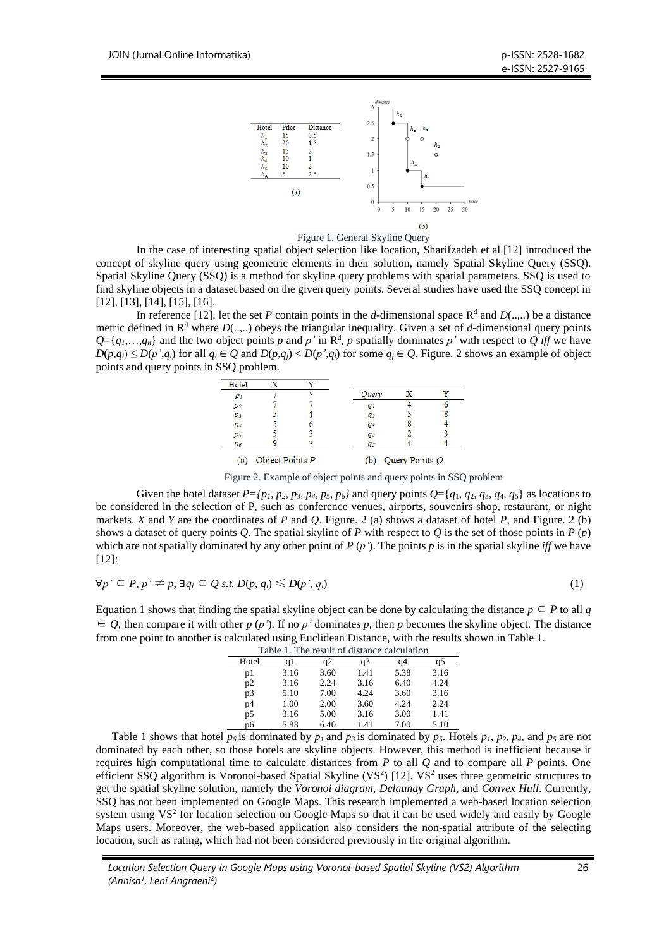



In the case of interesting spatial object selection like location, Sharifzadeh et al.[12] introduced the concept of skyline query using geometric elements in their solution, namely Spatial Skyline Query (SSQ). Spatial Skyline Query (SSQ) is a method for skyline query problems with spatial parameters. SSQ is used to find skyline objects in a dataset based on the given query points. Several studies have used the SSQ concept in [12], [13], [14], [15], [16].

In reference [12], let the set *P* contain points in the *d*-dimensional space  $R^d$  and  $D(...,:)$  be a distance metric defined in  $\mathbb{R}^d$  where  $D(...)$  obeys the triangular inequality. Given a set of *d*-dimensional query points  $Q = \{q_1, \ldots, q_n\}$  and the two object points *p* and *p'* in  $\mathbb{R}^d$ , *p* spatially dominates *p'* with respect to *Q iff* we have  $D(p,q_i) \le D(p',q_i)$  for all  $q_i \in Q$  and  $D(p,q_i) < D(p',q_i)$  for some  $q_i \in Q$ . Figure. 2 shows an example of object points and query points in SSQ problem.



Figure 2. Example of object points and query points in SSQ problem

Given the hotel dataset  $P = \{p_1, p_2, p_3, p_4, p_5, p_6\}$  and query points  $Q = \{q_1, q_2, q_3, q_4, q_5\}$  as locations to be considered in the selection of P, such as conference venues, airports, souvenirs shop, restaurant, or night markets. *X* and *Y* are the coordinates of *P* and *Q*. Figure. 2 (a) shows a dataset of hotel *P*, and Figure. 2 (b) shows a dataset of query points  $Q$ . The spatial skyline of  $P$  with respect to  $Q$  is the set of those points in  $P(p)$ which are not spatially dominated by any other point of  $P(p')$ . The points  $p$  is in the spatial skyline *iff* we have [12]:

$$
\forall p' \in P, p' \neq p, \exists q_i \in Q \text{ s.t. } D(p, q_i) \leq D(p', q_i)
$$
\n
$$
(1)
$$

Equation 1 shows that finding the spatial skyline object can be done by calculating the distance  $p \in P$  to all *q*  $\in$  *Q*, then compare it with other *p* (*p*). If no *p*' dominates *p*, then *p* becomes the skyline object. The distance from one point to another is calculated using Euclidean Distance, with the results shown in Table 1.

| Table 1. The result of distance calculation |      |      |      |      |      |
|---------------------------------------------|------|------|------|------|------|
| Hotel                                       | αl   |      | a3   | a4   | GD.  |
| p1                                          | 3.16 | 3.60 | 1.41 | 5.38 | 3.16 |
| p2                                          | 3.16 | 2.24 | 3.16 | 6.40 | 4.24 |
| p3                                          | 5.10 | 7.00 | 4.24 | 3.60 | 3.16 |
| p4                                          | 1.00 | 2.00 | 3.60 | 4.24 | 2.24 |
| p5                                          | 3.16 | 5.00 | 3.16 | 3.00 | 1.41 |
| p6                                          | 5.83 | 6.40 | 1.41 | 7.00 | 5.10 |

Table 1 shows that hotel  $p_6$  is dominated by  $p_1$  and  $p_3$  is dominated by  $p_5$ . Hotels  $p_1$ ,  $p_2$ ,  $p_4$ , and  $p_5$  are not dominated by each other, so those hotels are skyline objects. However, this method is inefficient because it requires high computational time to calculate distances from *P* to all *Q* and to compare all *P* points. One efficient SSQ algorithm is Voronoi-based Spatial Skyline (VS<sup>2</sup>) [12]. VS<sup>2</sup> uses three geometric structures to get the spatial skyline solution, namely the *Voronoi diagram*, *Delaunay Graph*, and *Convex Hull*. Currently, SSQ has not been implemented on Google Maps. This research implemented a web-based location selection system using VS<sup>2</sup> for location selection on Google Maps so that it can be used widely and easily by Google Maps users. Moreover, the web-based application also considers the non-spatial attribute of the selecting location, such as rating, which had not been considered previously in the original algorithm.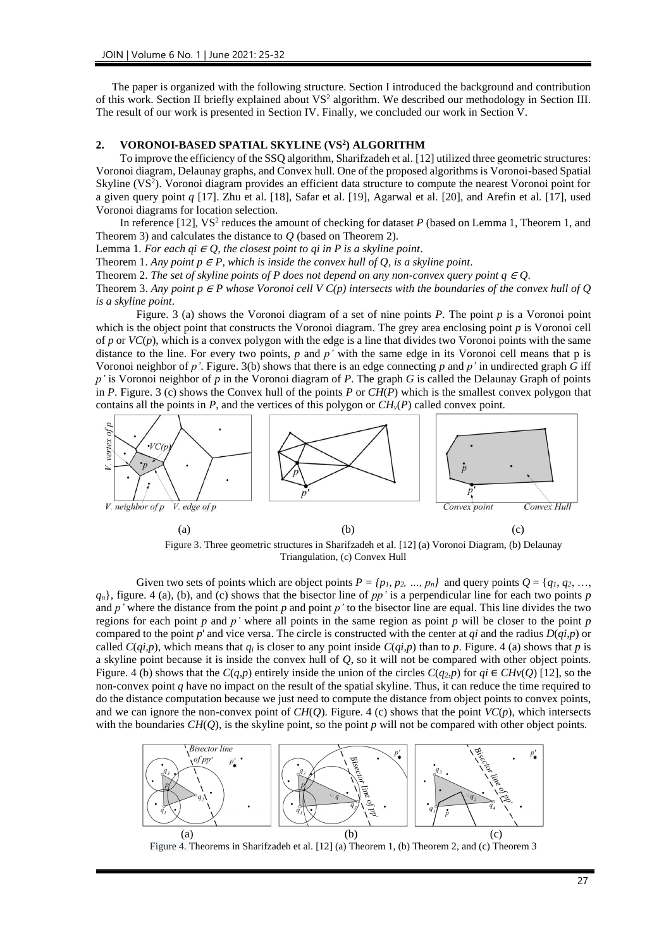The paper is organized with the following structure. Section I introduced the background and contribution of this work. Section II briefly explained about  $VS^2$  algorithm. We described our methodology in Section III. The result of our work is presented in Section IV. Finally, we concluded our work in Section V.

# **2. VORONOI-BASED SPATIAL SKYLINE (VS<sup>2</sup> ) ALGORITHM**

To improve the efficiency of the SSQ algorithm, Sharifzadeh et al. [12] utilized three geometric structures: Voronoi diagram, Delaunay graphs, and Convex hull. One of the proposed algorithms is Voronoi-based Spatial Skyline (VS<sup>2</sup>). Voronoi diagram provides an efficient data structure to compute the nearest Voronoi point for a given query point *q* [17]. Zhu et al. [18], Safar et al. [19], Agarwal et al. [20], and Arefin et al. [17], used Voronoi diagrams for location selection.

In reference [12], VS<sup>2</sup> reduces the amount of checking for dataset *P* (based on Lemma 1, Theorem 1, and Theorem 3) and calculates the distance to *Q* (based on Theorem 2).

Lemma 1. *For each qi*  $\in Q$ , the closest point to qi in P is a skyline point.

Theorem 1. Any point  $p \in P$ , which is inside the convex hull of Q, is a skyline point.

Theorem 2. *The set of skyline points of P does not depend on any non-convex query point*  $q \in Q$ *.* 

Theorem 3. Any point  $p \in P$  whose Voronoi cell V  $C(p)$  intersects with the boundaries of the convex hull of Q *is a skyline point*.

Figure. 3 (a) shows the Voronoi diagram of a set of nine points *P*. The point *p* is a Voronoi point which is the object point that constructs the Voronoi diagram. The grey area enclosing point *p* is Voronoi cell of  $p$  or  $VC(p)$ , which is a convex polygon with the edge is a line that divides two Voronoi points with the same distance to the line. For every two points, *p* and *p'* with the same edge in its Voronoi cell means that p is Voronoi neighbor of *p'*. Figure. 3(b) shows that there is an edge connecting *p* and *p'* in undirected graph *G* iff *p'* is Voronoi neighbor of *p* in the Voronoi diagram of *P*. The graph *G* is called the Delaunay Graph of points in *P*. Figure. 3 (c) shows the Convex hull of the points *P* or *CH*(*P*) which is the smallest convex polygon that contains all the points in *P*, and the vertices of this polygon or  $CH<sub>v</sub>(P)$  called convex point.



Figure 3. Three geometric structures in Sharifzadeh et al. [12] (a) Voronoi Diagram, (b) Delaunay Triangulation, (c) Convex Hull

Given two sets of points which are object points  $P = \{p_1, p_2, ..., p_n\}$  and query points  $Q = \{q_1, q_2, ..., q_n\}$ *qn*}, figure. 4 (a), (b), and (c) shows that the bisector line of *pp'* is a perpendicular line for each two points *p* and *p'* where the distance from the point *p* and point *p'* to the bisector line are equal. This line divides the two regions for each point  $p$  and  $p'$  where all points in the same region as point  $p$  will be closer to the point  $p$ compared to the point  $p'$  and vice versa. The circle is constructed with the center at  $qi$  and the radius  $D(qi,p)$  or called  $C(qi,p)$ , which means that  $q_i$  is closer to any point inside  $C(qi,p)$  than to p. Figure. 4 (a) shows that p is a skyline point because it is inside the convex hull of *Q*, so it will not be compared with other object points. Figure. 4 (b) shows that the  $C(q, p)$  entirely inside the union of the circles  $C(q_2, p)$  for  $qi \in CHv(O)$  [12], so the non-convex point *q* have no impact on the result of the spatial skyline. Thus, it can reduce the time required to do the distance computation because we just need to compute the distance from object points to convex points, and we can ignore the non-convex point of  $CH(Q)$ . Figure. 4 (c) shows that the point  $VC(p)$ , which intersects with the boundaries  $CH(Q)$ , is the skyline point, so the point  $p$  will not be compared with other object points.



27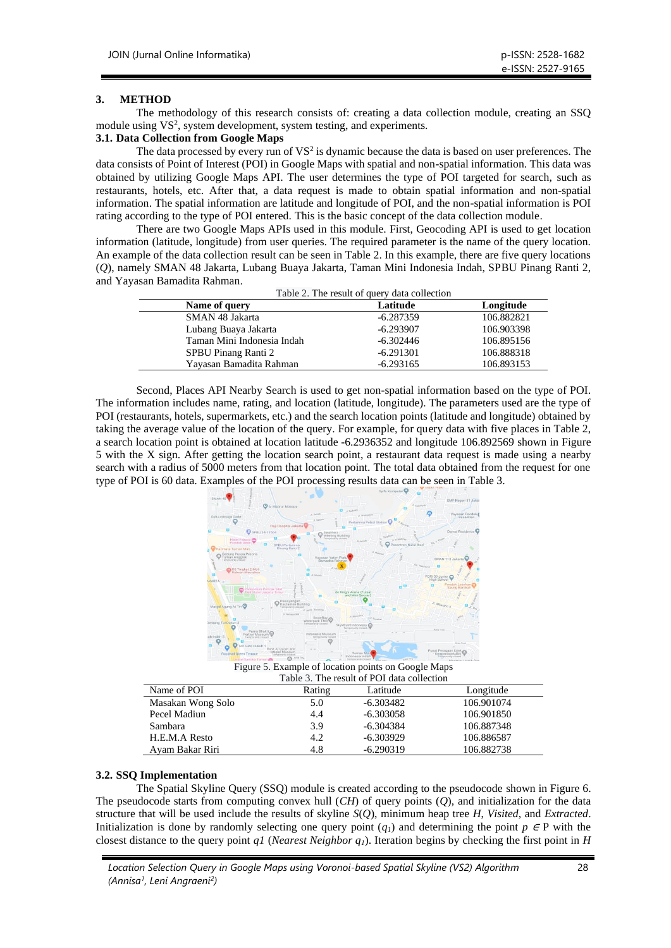# **3. METHOD**

The methodology of this research consists of: creating a data collection module, creating an SSQ module using VS<sup>2</sup>, system development, system testing, and experiments.

# **3.1. Data Collection from Google Maps**

The data processed by every run of  $VS^2$  is dynamic because the data is based on user preferences. The data consists of Point of Interest (POI) in Google Maps with spatial and non-spatial information. This data was obtained by utilizing Google Maps API. The user determines the type of POI targeted for search, such as restaurants, hotels, etc. After that, a data request is made to obtain spatial information and non-spatial information. The spatial information are latitude and longitude of POI, and the non-spatial information is POI rating according to the type of POI entered. This is the basic concept of the data collection module.

There are two Google Maps APIs used in this module. First, Geocoding API is used to get location information (latitude, longitude) from user queries. The required parameter is the name of the query location. An example of the data collection result can be seen in Table 2. In this example, there are five query locations (*Q*), namely SMAN 48 Jakarta, Lubang Buaya Jakarta, Taman Mini Indonesia Indah, SPBU Pinang Ranti 2, and Yayasan Bamadita Rahman.

| Table 2. The result of query data collection |  |
|----------------------------------------------|--|
|----------------------------------------------|--|

| Name of query              | Latitude    | Longitude  |
|----------------------------|-------------|------------|
| SMAN 48 Jakarta            | -6.287359   | 106.882821 |
| Lubang Buaya Jakarta       | $-6.293907$ | 106.903398 |
| Taman Mini Indonesia Indah | $-6.302446$ | 106.895156 |
| SPBU Pinang Ranti 2        | $-6.291301$ | 106.888318 |
| Yavasan Bamadita Rahman    | $-6.293165$ | 106.893153 |

Second, Places API Nearby Search is used to get non-spatial information based on the type of POI. The information includes name, rating, and location (latitude, longitude). The parameters used are the type of POI (restaurants, hotels, supermarkets, etc.) and the search location points (latitude and longitude) obtained by taking the average value of the location of the query. For example, for query data with five places in Table 2, a search location point is obtained at location latitude -6.2936352 and longitude 106.892569 shown in Figure 5 with the X sign. After getting the location search point, a restaurant data request is made using a nearby search with a radius of 5000 meters from that location point. The total data obtained from the request for one type of POI is 60 data. Examples of the POI processing results data can be seen in Table 3.



Figure 5. Example of location points on Google Maps

| Table 3. The result of POI data collection |        |             |            |  |
|--------------------------------------------|--------|-------------|------------|--|
| Name of POI                                | Rating | Latitude    | Longitude  |  |
| Masakan Wong Solo                          | 5.0    | $-6.303482$ | 106.901074 |  |
| Pecel Madiun                               | 4.4    | $-6.303058$ | 106.901850 |  |
| Sambara                                    | 3.9    | $-6.304384$ | 106.887348 |  |
| H.E.M.A Resto                              | 4.2    | -6.303929   | 106.886587 |  |
| Avam Bakar Riri                            | 4.8    | $-6.290319$ | 106.882738 |  |

# **3.2. SSQ Implementation**

The Spatial Skyline Query (SSQ) module is created according to the pseudocode shown in Figure 6. The pseudocode starts from computing convex hull (*CH*) of query points (*Q*), and initialization for the data structure that will be used include the results of skyline *S*(*Q*), minimum heap tree *H*, *Visited*, and *Extracted*. Initialization is done by randomly selecting one query point  $(q<sub>i</sub>)$  and determining the point  $p \in P$  with the closest distance to the query point *q1* (*Nearest Neighbor q1*). Iteration begins by checking the first point in *H*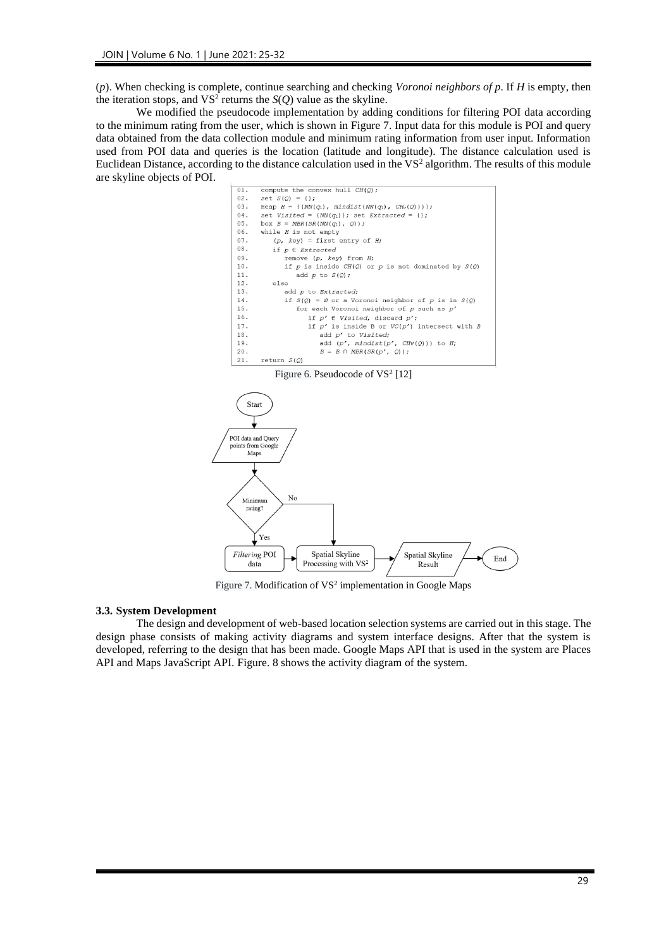(*p*). When checking is complete, continue searching and checking *Voronoi neighbors of p*. If *H* is empty, then the iteration stops, and  $VS^2$  returns the *S*(*Q*) value as the skyline.

We modified the pseudocode implementation by adding conditions for filtering POI data according to the minimum rating from the user, which is shown in Figure 7. Input data for this module is POI and query data obtained from the data collection module and minimum rating information from user input. Information used from POI data and queries is the location (latitude and longitude). The distance calculation used is Euclidean Distance, according to the distance calculation used in the VS<sup>2</sup> algorithm. The results of this module are skyline objects of POI.



Figure 7. Modification of  $VS^2$  implementation in Google Maps

#### **3.3. System Development**

The design and development of web-based location selection systems are carried out in this stage. The design phase consists of making activity diagrams and system interface designs. After that the system is developed, referring to the design that has been made. Google Maps API that is used in the system are Places API and Maps JavaScript API. Figure. 8 shows the activity diagram of the system.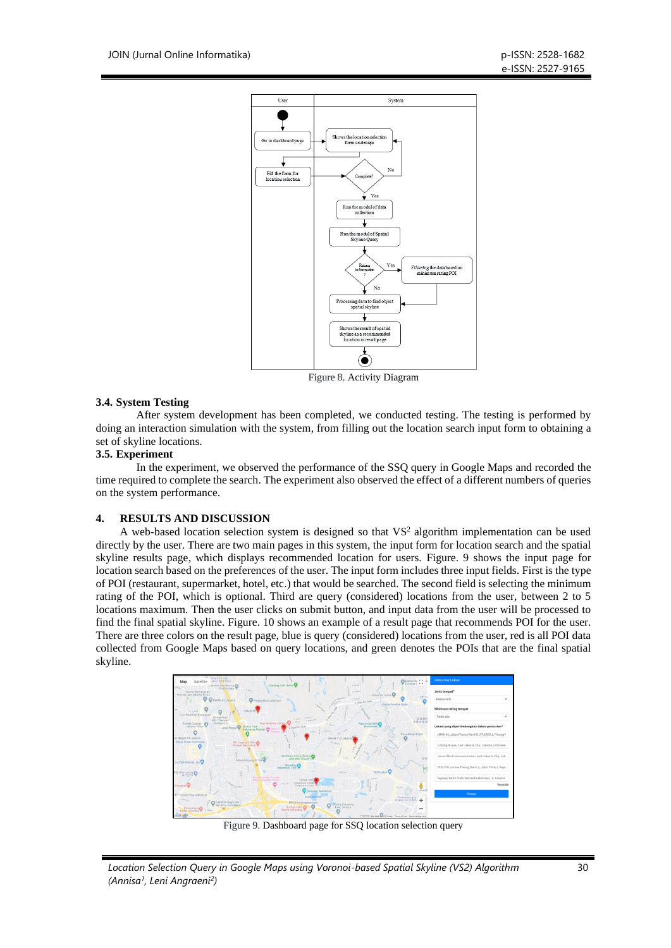

Figure 8. Activity Diagram

# **3.4. System Testing**

After system development has been completed, we conducted testing. The testing is performed by doing an interaction simulation with the system, from filling out the location search input form to obtaining a set of skyline locations.

# **3.5. Experiment**

In the experiment, we observed the performance of the SSQ query in Google Maps and recorded the time required to complete the search. The experiment also observed the effect of a different numbers of queries on the system performance.

# **4. RESULTS AND DISCUSSION**

A web-based location selection system is designed so that  $VS<sup>2</sup>$  algorithm implementation can be used directly by the user. There are two main pages in this system, the input form for location search and the spatial skyline results page, which displays recommended location for users. Figure. 9 shows the input page for location search based on the preferences of the user. The input form includes three input fields. First is the type of POI (restaurant, supermarket, hotel, etc.) that would be searched. The second field is selecting the minimum rating of the POI, which is optional. Third are query (considered) locations from the user, between 2 to 5 locations maximum. Then the user clicks on submit button, and input data from the user will be processed to find the final spatial skyline. Figure. 10 shows an example of a result page that recommends POI for the user. There are three colors on the result page, blue is query (considered) locations from the user, red is all POI data collected from Google Maps based on query locations, and green denotes the POIs that are the final spatial skyline.



Figure 9. Dashboard page for SSQ location selection query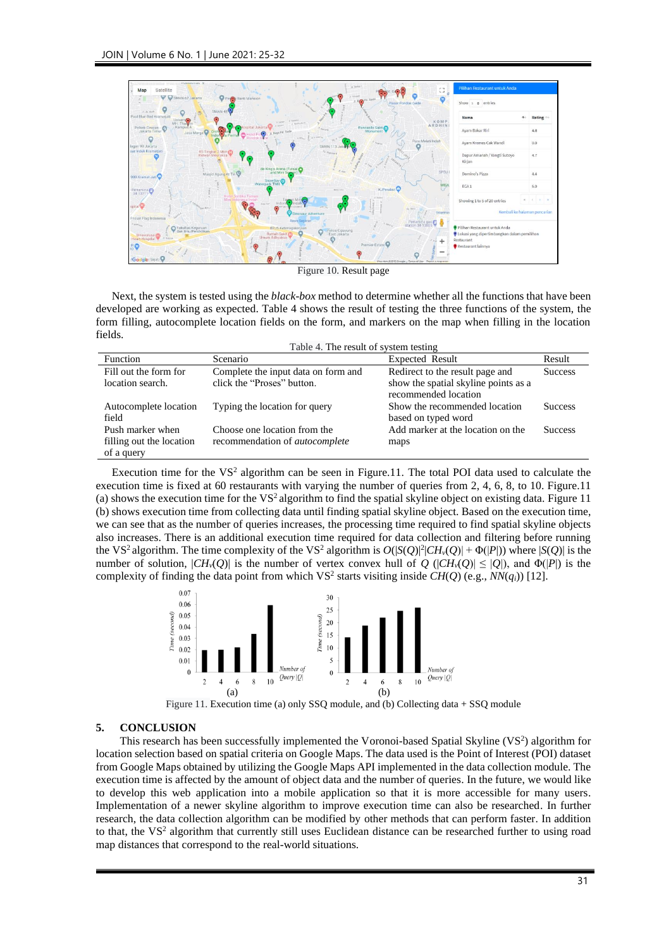

Figure 10. Result page

Next, the system is tested using the *black-box* method to determine whether all the functions that have been developed are working as expected. Table 4 shows the result of testing the three functions of the system, the form filling, autocomplete location fields on the form, and markers on the map when filling in the location fields.

| Table 4. The result of system testing                      |                                                                       |                                                              |                |  |
|------------------------------------------------------------|-----------------------------------------------------------------------|--------------------------------------------------------------|----------------|--|
| Function                                                   | Scenario                                                              | <b>Expected Result</b>                                       | Result         |  |
| Fill out the form for                                      | Complete the input data on form and                                   | Redirect to the result page and                              | <b>Success</b> |  |
| location search.                                           | click the "Proses" button.                                            | show the spatial skyline points as a<br>recommended location |                |  |
| Autocomplete location<br>field                             | Typing the location for query                                         | Show the recommended location<br>based on typed word         | <b>Success</b> |  |
| Push marker when<br>filling out the location<br>of a query | Choose one location from the<br>recommendation of <i>autocomplete</i> | Add marker at the location on the<br>maps                    | <b>Success</b> |  |

Execution time for the  $VS^2$  algorithm can be seen in Figure.11. The total POI data used to calculate the execution time is fixed at 60 restaurants with varying the number of queries from 2, 4, 6, 8, to 10. Figure.11 (a) shows the execution time for the  $VS^2$  algorithm to find the spatial skyline object on existing data. Figure 11 (b) shows execution time from collecting data until finding spatial skyline object. Based on the execution time, we can see that as the number of queries increases, the processing time required to find spatial skyline objects also increases. There is an additional execution time required for data collection and filtering before running the VS<sup>2</sup> algorithm. The time complexity of the VS<sup>2</sup> algorithm is  $O(|S(Q)|^2|CH_v(Q)| + \Phi(|P|)$ ) where  $|S(Q)|$  is the number of solution,  $|CH_v(Q)|$  is the number of vertex convex hull of  $Q$  ( $|CH_v(Q)| \leq |Q|$ ), and  $\Phi(|P|)$  is the complexity of finding the data point from which VS<sup>2</sup> starts visiting inside  $CH(Q)$  (e.g.,  $NN(q_i)$ ) [12].



Figure 11. Execution time (a) only SSQ module, and (b) Collecting data + SSQ module

# **5. CONCLUSION**

This research has been successfully implemented the Voronoi-based Spatial Skyline (VS<sup>2</sup>) algorithm for location selection based on spatial criteria on Google Maps. The data used is the Point of Interest (POI) dataset from Google Maps obtained by utilizing the Google Maps API implemented in the data collection module. The execution time is affected by the amount of object data and the number of queries. In the future, we would like to develop this web application into a mobile application so that it is more accessible for many users. Implementation of a newer skyline algorithm to improve execution time can also be researched. In further research, the data collection algorithm can be modified by other methods that can perform faster. In addition to that, the VS<sup>2</sup> algorithm that currently still uses Euclidean distance can be researched further to using road map distances that correspond to the real-world situations.